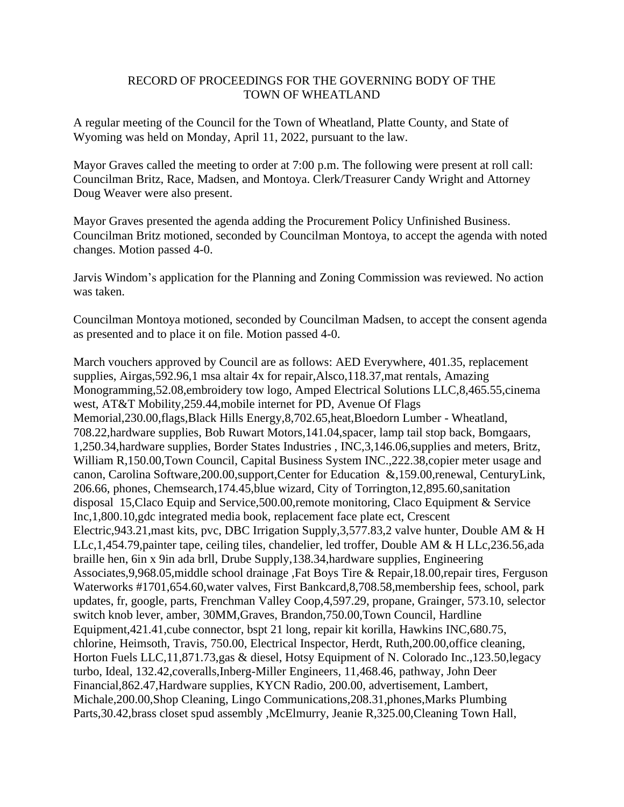## RECORD OF PROCEEDINGS FOR THE GOVERNING BODY OF THE TOWN OF WHEATLAND

A regular meeting of the Council for the Town of Wheatland, Platte County, and State of Wyoming was held on Monday, April 11, 2022, pursuant to the law.

Mayor Graves called the meeting to order at 7:00 p.m. The following were present at roll call: Councilman Britz, Race, Madsen, and Montoya. Clerk/Treasurer Candy Wright and Attorney Doug Weaver were also present.

Mayor Graves presented the agenda adding the Procurement Policy Unfinished Business. Councilman Britz motioned, seconded by Councilman Montoya, to accept the agenda with noted changes. Motion passed 4-0.

Jarvis Windom's application for the Planning and Zoning Commission was reviewed. No action was taken.

Councilman Montoya motioned, seconded by Councilman Madsen, to accept the consent agenda as presented and to place it on file. Motion passed 4-0.

March vouchers approved by Council are as follows: AED Everywhere, 401.35, replacement supplies, Airgas,592.96,1 msa altair 4x for repair,Alsco,118.37,mat rentals, Amazing Monogramming,52.08,embroidery tow logo, Amped Electrical Solutions LLC,8,465.55,cinema west, AT&T Mobility,259.44,mobile internet for PD, Avenue Of Flags Memorial,230.00,flags,Black Hills Energy,8,702.65,heat,Bloedorn Lumber - Wheatland, 708.22,hardware supplies, Bob Ruwart Motors,141.04,spacer, lamp tail stop back, Bomgaars, 1,250.34,hardware supplies, Border States Industries , INC,3,146.06,supplies and meters, Britz, William R,150.00,Town Council, Capital Business System INC.,222.38, copier meter usage and canon, Carolina Software,200.00,support,Center for Education &,159.00,renewal, CenturyLink, 206.66, phones, Chemsearch,174.45,blue wizard, City of Torrington,12,895.60,sanitation disposal 15,Claco Equip and Service,500.00,remote monitoring, Claco Equipment & Service Inc,1,800.10,gdc integrated media book, replacement face plate ect, Crescent Electric,943.21,mast kits, pvc, DBC Irrigation Supply,3,577.83,2 valve hunter, Double AM & H LLc,1,454.79,painter tape, ceiling tiles, chandelier, led troffer, Double AM & H LLc,236.56,ada braille hen, 6in x 9in ada brll, Drube Supply,138.34,hardware supplies, Engineering Associates,9,968.05,middle school drainage ,Fat Boys Tire & Repair,18.00,repair tires, Ferguson Waterworks #1701,654.60,water valves, First Bankcard,8,708.58,membership fees, school, park updates, fr, google, parts, Frenchman Valley Coop,4,597.29, propane, Grainger, 573.10, selector switch knob lever, amber, 30MM,Graves, Brandon,750.00,Town Council, Hardline Equipment,421.41,cube connector, bspt 21 long, repair kit korilla, Hawkins INC,680.75, chlorine, Heimsoth, Travis, 750.00, Electrical Inspector, Herdt, Ruth,200.00,office cleaning, Horton Fuels LLC,11,871.73,gas & diesel, Hotsy Equipment of N. Colorado Inc.,123.50,legacy turbo, Ideal, 132.42,coveralls,Inberg-Miller Engineers, 11,468.46, pathway, John Deer Financial,862.47,Hardware supplies, KYCN Radio, 200.00, advertisement, Lambert, Michale,200.00,Shop Cleaning, Lingo Communications,208.31,phones,Marks Plumbing Parts,30.42,brass closet spud assembly ,McElmurry, Jeanie R,325.00,Cleaning Town Hall,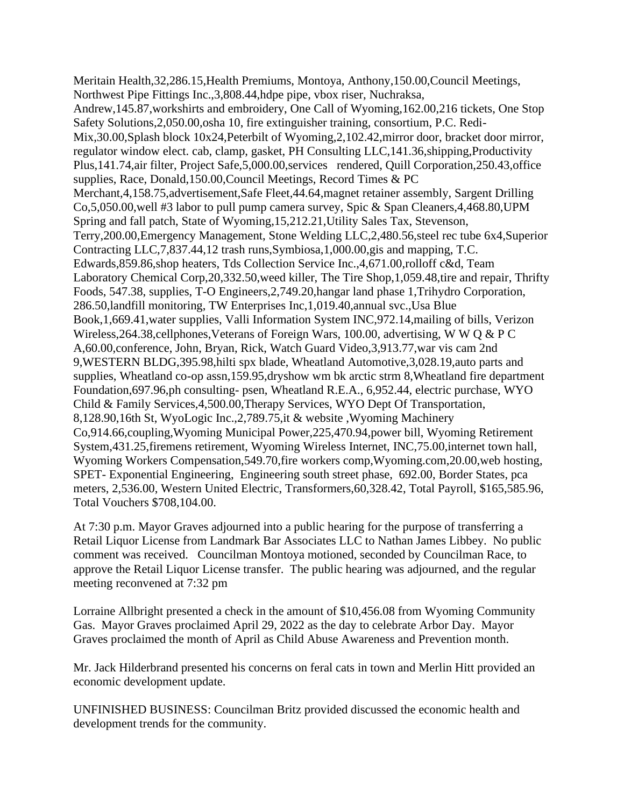Meritain Health,32,286.15,Health Premiums, Montoya, Anthony,150.00,Council Meetings, Northwest Pipe Fittings Inc.,3,808.44,hdpe pipe, vbox riser, Nuchraksa, Andrew,145.87,workshirts and embroidery, One Call of Wyoming,162.00,216 tickets, One Stop Safety Solutions,2,050.00,osha 10, fire extinguisher training, consortium, P.C. Redi-Mix,30.00,Splash block 10x24,Peterbilt of Wyoming,2,102.42,mirror door, bracket door mirror, regulator window elect. cab, clamp, gasket, PH Consulting LLC,141.36,shipping,Productivity Plus,141.74,air filter, Project Safe,5,000.00,services rendered, Quill Corporation,250.43,office supplies, Race, Donald,150.00,Council Meetings, Record Times & PC Merchant,4,158.75,advertisement,Safe Fleet,44.64,magnet retainer assembly, Sargent Drilling Co,5,050.00,well #3 labor to pull pump camera survey, Spic & Span Cleaners,4,468.80,UPM Spring and fall patch, State of Wyoming,15,212.21,Utility Sales Tax, Stevenson, Terry,200.00,Emergency Management, Stone Welding LLC,2,480.56,steel rec tube 6x4,Superior Contracting LLC,7,837.44,12 trash runs,Symbiosa,1,000.00,gis and mapping, T.C. Edwards,859.86,shop heaters, Tds Collection Service Inc.,4,671.00,rolloff c&d, Team Laboratory Chemical Corp,20,332.50,weed killer, The Tire Shop,1,059.48,tire and repair, Thrifty Foods, 547.38, supplies, T-O Engineers,2,749.20,hangar land phase 1,Trihydro Corporation, 286.50,landfill monitoring, TW Enterprises Inc,1,019.40,annual svc.,Usa Blue Book,1,669.41,water supplies, Valli Information System INC,972.14,mailing of bills, Verizon Wireless,264.38,cellphones,Veterans of Foreign Wars, 100.00, advertising, W W Q & P C A,60.00,conference, John, Bryan, Rick, Watch Guard Video,3,913.77,war vis cam 2nd 9,WESTERN BLDG,395.98,hilti spx blade, Wheatland Automotive,3,028.19,auto parts and supplies, Wheatland co-op assn,159.95,dryshow wm bk arctic strm 8,Wheatland fire department Foundation,697.96,ph consulting- psen, Wheatland R.E.A., 6,952.44, electric purchase, WYO Child & Family Services,4,500.00,Therapy Services, WYO Dept Of Transportation, 8,128.90,16th St, WyoLogic Inc.,2,789.75,it & website ,Wyoming Machinery Co,914.66,coupling,Wyoming Municipal Power,225,470.94,power bill, Wyoming Retirement System,431.25,firemens retirement, Wyoming Wireless Internet, INC,75.00,internet town hall, Wyoming Workers Compensation,549.70,fire workers comp,Wyoming.com,20.00,web hosting, SPET- Exponential Engineering, Engineering south street phase, 692.00, Border States, pca meters, 2,536.00, Western United Electric, Transformers,60,328.42, Total Payroll, \$165,585.96, Total Vouchers \$708,104.00.

At 7:30 p.m. Mayor Graves adjourned into a public hearing for the purpose of transferring a Retail Liquor License from Landmark Bar Associates LLC to Nathan James Libbey. No public comment was received. Councilman Montoya motioned, seconded by Councilman Race, to approve the Retail Liquor License transfer. The public hearing was adjourned, and the regular meeting reconvened at 7:32 pm

Lorraine Allbright presented a check in the amount of \$10,456.08 from Wyoming Community Gas. Mayor Graves proclaimed April 29, 2022 as the day to celebrate Arbor Day. Mayor Graves proclaimed the month of April as Child Abuse Awareness and Prevention month.

Mr. Jack Hilderbrand presented his concerns on feral cats in town and Merlin Hitt provided an economic development update.

UNFINISHED BUSINESS: Councilman Britz provided discussed the economic health and development trends for the community.